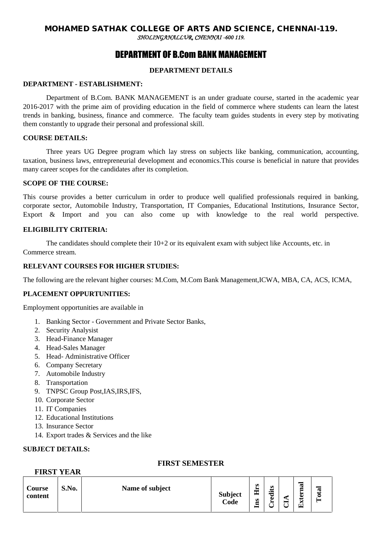# DEPARTMENT OF B.Com BANK MANAGEMENT

# **DEPARTMENT DETAILS**

### **DEPARTMENT - ESTABLISHMENT:**

Department of B.Com. BANK MANAGEMENT is an under graduate course, started in the academic year 2016-2017 with the prime aim of providing education in the field of commerce where students can learn the latest trends in banking, business, finance and commerce. The faculty team guides students in every step by motivating them constantly to upgrade their personal and professional skill.

#### **COURSE DETAILS:**

Three years UG Degree program which lay stress on subjects like banking, communication, accounting, taxation, business laws, entrepreneurial development and economics.This course is beneficial in nature that provides many career scopes for the candidates after its completion.

#### **SCOPE OF THE COURSE:**

This course provides a better curriculum in order to produce well qualified professionals required in banking, corporate sector, Automobile Industry, Transportation, IT Companies, Educational Institutions, Insurance Sector, Export & Import and you can also come up with knowledge to the real world perspective.

### **ELIGIBILITY CRITERIA:**

The candidates should complete their  $10+2$  or its equivalent exam with subject like Accounts, etc. in Commerce stream.

### **RELEVANT COURSES FOR HIGHER STUDIES:**

The following are the relevant higher courses: M.Com, M.Com Bank Management,ICWA, MBA, CA, ACS, ICMA,

# **PLACEMENT OPPURTUNITIES:**

Employment opportunities are available in

- 1. Banking Sector Government and Private Sector Banks,
- 2. Security Analysist
- 3. Head-Finance Manager
- 4. Head-Sales Manager
- 5. Head- Administrative Officer
- 6. Company Secretary
- 7. Automobile Industry
- 8. Transportation
- 9. TNPSC Group Post,IAS,IRS,IFS,
- 10. Corporate Sector
- 11. IT Companies
- 12. Educational Institutions
- 13. Insurance Sector
- 14. Export trades & Services and the like

#### **SUBJECT DETAILS:**

**FIRST YEAR**

# **FIRST SEMESTER**

| Course<br>content | S.No. | Name of subject | <b>Subject</b><br>Code | $\boldsymbol{v}$<br>۰.<br>ᄑ<br>ns | s<br>≔<br>ن<br>Φ<br>► | ▬<br>∸ | ದ<br>G | œ<br>- |
|-------------------|-------|-----------------|------------------------|-----------------------------------|-----------------------|--------|--------|--------|
|-------------------|-------|-----------------|------------------------|-----------------------------------|-----------------------|--------|--------|--------|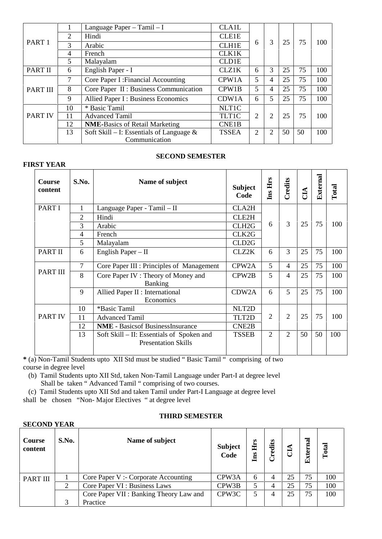|                   |                | Language Paper - Tamil - I                  | <b>CLA1L</b>       |   |                |    |    |     |
|-------------------|----------------|---------------------------------------------|--------------------|---|----------------|----|----|-----|
|                   | 2              | Hindi                                       | <b>CLE1E</b>       |   |                |    |    |     |
| PART <sub>1</sub> | 3              | Arabic                                      | <b>CLH1E</b>       | 6 | 3              | 25 | 75 | 100 |
|                   | $\overline{4}$ | French                                      | <b>CLK1K</b>       |   |                |    |    |     |
|                   | 5              | Malayalam                                   | <b>CLD1E</b>       |   |                |    |    |     |
| PART II           | 6              | English Paper - I                           | <b>CLZ1K</b>       | 6 | 3              | 25 | 75 | 100 |
|                   | 7              | Core Paper I: Financial Accounting          | CPW1A              | 5 | 4              | 25 | 75 | 100 |
| <b>PART III</b>   | 8              | Core Paper II : Business Communication      | CPW1B              | 5 | 4              | 25 | 75 | 100 |
|                   | 9              | <b>Allied Paper I: Business Economics</b>   | CDW1A              | 6 | 5              | 25 | 75 | 100 |
|                   | 10             | * Basic Tamil                               | <b>NLT1C</b>       |   |                |    |    |     |
| <b>PART IV</b>    | 11             | <b>Advanced Tamil</b>                       | TLT1C              | 2 | $\overline{2}$ | 25 | 75 | 100 |
|                   | 12             | <b>NME-Basics of Retail Marketing</b>       | CNE <sub>1</sub> B |   |                |    |    |     |
|                   | 13             | Soft Skill – I: Essentials of Language $\&$ | <b>TSSEA</b>       | 2 | 2              | 50 | 50 | 100 |
|                   |                | Communication                               |                    |   |                |    |    |     |

### **SECOND SEMESTER**

| S.No.          | Name of subject                                                         | <b>Subject</b><br>Code | Ins Hrs        | Credits        | CIA | External | Total |
|----------------|-------------------------------------------------------------------------|------------------------|----------------|----------------|-----|----------|-------|
| 1              | Language Paper - Tamil - II                                             | <b>CLA2H</b>           |                |                |     |          |       |
| $\overline{2}$ | Hindi                                                                   | CLE2H                  |                |                |     |          |       |
| 3              | Arabic                                                                  | CLH <sub>2G</sub>      | 6              |                |     |          | 100   |
| $\overline{4}$ | French                                                                  | CLK2G                  |                |                |     |          |       |
| 5              | Malayalam                                                               | CLD <sub>2G</sub>      |                |                |     |          |       |
| 6              | English Paper $-$ II                                                    | CLZ2K                  | 6              | 3              | 25  | 75       | 100   |
| 7              | Core Paper III : Principles of Management                               | CPW <sub>2</sub> A     | 5              | $\overline{4}$ | 25  | 75       | 100   |
| 8              | Core Paper IV: Theory of Money and<br><b>Banking</b>                    | CPW <sub>2</sub> B     | 5              | 4              | 25  | 75       | 100   |
| 9              | Allied Paper II : International<br>Economics                            | CDW2A                  | 6              | 5              | 25  | 75       | 100   |
| 10             | *Basic Tamil                                                            | NLT2D                  |                |                |     |          |       |
| 11             | <b>Advanced Tamil</b>                                                   | TLT2D                  | 2              | 2              | 25  | 75       | 100   |
| 12             | <b>NME - Basicsof BusinessInsurance</b>                                 | CNE2B                  |                |                |     |          |       |
| 13             | Soft Skill – II: Essentials of Spoken and<br><b>Presentation Skills</b> | <b>TSSEB</b>           | $\overline{2}$ | $\overline{2}$ | 50  | 50       | 100   |
|                |                                                                         |                        |                |                | 3   | 25       | 75    |

**\*** (a) Non-Tamil Students upto XII Std must be studied " Basic Tamil " comprising of two course in degree level

- (b) Tamil Students upto XII Std, taken Non-Tamil Language under Part-I at degree level Shall be taken " Advanced Tamil " comprising of two courses.
- (c) Tamil Students upto XII Std and taken Tamil under Part-I Language at degree level

shall be chosen "Non- Major Electives " at degree level

| <b>SECOND YEAR</b> |       |                                         |                        |                |        |    |             |       |  |  |  |  |
|--------------------|-------|-----------------------------------------|------------------------|----------------|--------|----|-------------|-------|--|--|--|--|
| Course<br>content  | S.No. | Name of subject                         | <b>Subject</b><br>Code | o.<br>占<br>Ins | redits | J  | xterna<br>囙 | Total |  |  |  |  |
| PART III           |       | Core Paper V: - Corporate Accounting    | CPW <sub>3</sub> A     | 6              | 4      | 25 | 75          | 100   |  |  |  |  |
|                    | 2     | Core Paper VI : Business Laws           | CPW3B                  | 5              | 4      | 25 | 75          | 100   |  |  |  |  |
|                    |       | Core Paper VII : Banking Theory Law and | CPW3C                  | 5              |        | 25 | 75          | 100   |  |  |  |  |
|                    | 3     | Practice                                |                        |                |        |    |             |       |  |  |  |  |

### **THIRD SEMESTER**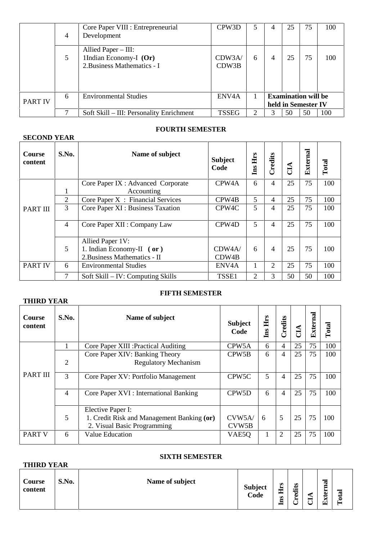|                | 4 | Core Paper VIII : Entrepreneurial<br>Development                                 | CPW3D              | 5 |                                                   | 25 | 75 | 100 |
|----------------|---|----------------------------------------------------------------------------------|--------------------|---|---------------------------------------------------|----|----|-----|
|                | 5 | Allied Paper $-$ III:<br>1Indian Economy-I $(Or)$<br>2. Business Mathematics - I | CDW3A/<br>CDW3B    | 6 |                                                   | 25 | 75 | 100 |
| <b>PART IV</b> | 6 | <b>Environmental Studies</b>                                                     | ENV <sub>4</sub> A |   | <b>Examination will be</b><br>held in Semester IV |    |    |     |
|                |   | Soft Skill - III: Personality Enrichment                                         | <b>TSSEG</b>       | 2 |                                                   | 50 | 50 | 100 |

# **FOURTH SEMESTER**

| <b>SECOND YEAR</b>       |                |                                     |                        |            |                |    |          |       |
|--------------------------|----------------|-------------------------------------|------------------------|------------|----------------|----|----------|-------|
| <b>Course</b><br>content | S.No.          | Name of subject                     | <b>Subject</b><br>Code | Hrs<br>Ins | Credits        | ÊЦ | External | Total |
|                          |                | Core Paper IX : Advanced Corporate  | CPW <sub>4</sub> A     | 6          | $\overline{4}$ | 25 | 75       | 100   |
|                          | 1              | Accounting                          |                        |            |                |    |          |       |
|                          | $\overline{2}$ | Core Paper $X$ : Financial Services | CPW <sub>4</sub> B     | 5          | 4              | 25 | 75       | 100   |
| <b>PART III</b>          | 3              | Core Paper XI : Business Taxation   | CPW <sub>4</sub> C     | 5          | 4              | 25 | 75       | 100   |
|                          | $\overline{4}$ | Core Paper XII : Company Law        | CPW <sub>4</sub> D     | 5          | 4              | 25 | 75       | 100   |
|                          |                | Allied Paper 1V:                    |                        |            |                |    |          |       |
|                          | 5              | 1. Indian Economy-II $($ or $)$     | CDW4A/                 | 6          | 4              | 25 | 75       | 100   |
|                          |                | 2. Business Mathematics - II        | CDW4B                  |            |                |    |          |       |
| <b>PART IV</b>           | 6              | <b>Environmental Studies</b>        | ENV <sub>4</sub> A     | 1          | 2              | 25 | 75       | 100   |
|                          | 7              | Soft Skill – IV: Computing Skills   | TSSE1                  | 2          | 3              | 50 | 50       | 100   |

# **THIRD YEAR**

# **FIFTH SEMESTER**

| <b>Course</b><br>content | S.No.          | Name of subject<br><b>Subject</b>                                                              |                    | Hrs<br>Ins | Credits        | ĆЦ | External | Total |
|--------------------------|----------------|------------------------------------------------------------------------------------------------|--------------------|------------|----------------|----|----------|-------|
|                          |                | Core Paper XIII : Practical Auditing                                                           | CPW5A              | 6          | 4              | 25 | 75       | 100   |
|                          | $\overline{2}$ | Core Paper XIV: Banking Theory<br><b>Regulatory Mechanism</b>                                  | CPW <sub>5</sub> B | 6          | 4              | 25 | 75       | 100   |
| <b>PART III</b>          | 3              | Core Paper XV: Portfolio Management                                                            | CPW <sub>5</sub> C | 5          | 4              | 25 | 75       | 100   |
|                          | 4              | Core Paper XVI : International Banking                                                         | CPW <sub>5</sub> D | 6          | 4              | 25 | 75       | 100   |
|                          | 5              | Elective Paper I:<br>1. Credit Risk and Management Banking (or)<br>2. Visual Basic Programming | CVM5A/<br>CVW5B    | 6          | 5              | 25 | 75       | 100   |
| <b>PART V</b>            | 6              | Value Education                                                                                | VAE <sub>50</sub>  |            | $\overline{2}$ | 25 | 75       | 100   |

### **SIXTH SEMESTER**

| <b>THIRD YEAR</b> |       |                 |                        |                                        |                |  |                                 |               |  |  |  |
|-------------------|-------|-----------------|------------------------|----------------------------------------|----------------|--|---------------------------------|---------------|--|--|--|
| Course<br>content | S.No. | Name of subject | <b>Subject</b><br>Code | $\boldsymbol{\omega}$<br>►<br>囯<br>Ins | dits<br>ω<br>∼ |  | nal<br>►<br>نە<br>ټ<br>iv.<br>G | ថ្ម<br>Č<br>− |  |  |  |